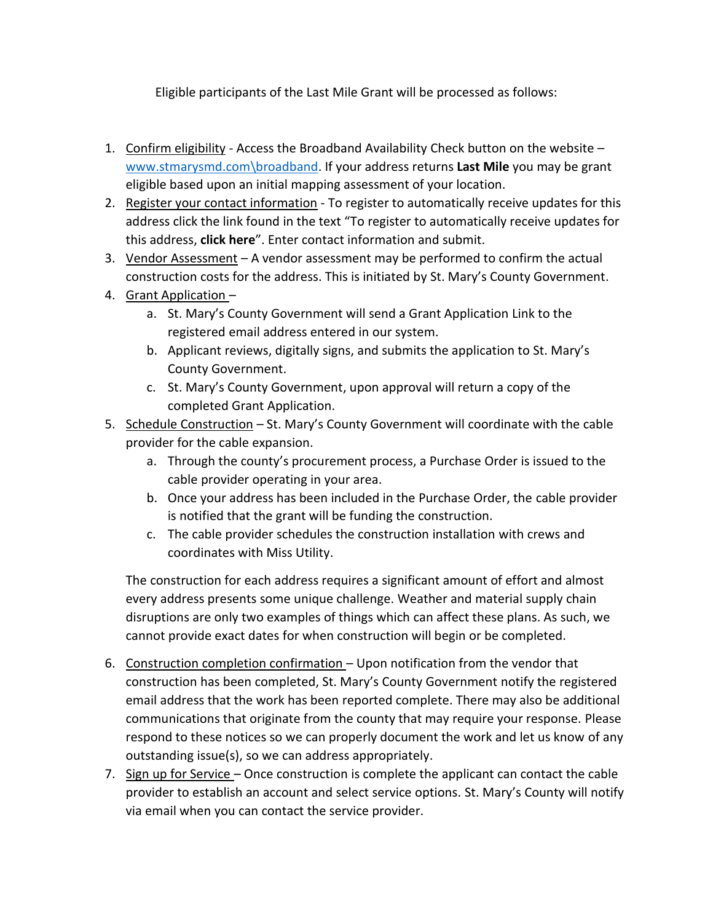Eligible participants of the Last Mile Grant will be processed as follows:

- 1. Confirm eligibility Access the Broadband Availability Check button on the website [www.stmarysmd.com\broadband.](http://www.stmarysmd.com/broadband) If your address returns **Last Mile** you may be grant eligible based upon an initial mapping assessment of your location.
- 2. Register your contact information To register to automatically receive updates for this address click the link found in the text "To register to automatically receive updates for this address, **click here**". Enter contact information and submit.
- 3. Vendor Assessment A vendor assessment may be performed to confirm the actual construction costs for the address. This is initiated by St. Mary's County Government.
- 4. Grant Application
	- a. St. Mary's County Government will send a Grant Application Link to the registered email address entered in our system.
	- b. Applicant reviews, digitally signs, and submits the application to St. Mary's County Government.
	- c. St. Mary's County Government, upon approval will return a copy of the completed Grant Application.
- 5. Schedule Construction St. Mary's County Government will coordinate with the cable provider for the cable expansion.
	- a. Through the county's procurement process, a Purchase Order is issued to the cable provider operating in your area.
	- b. Once your address has been included in the Purchase Order, the cable provider is notified that the grant will be funding the construction.
	- c. The cable provider schedules the construction installation with crews and coordinates with Miss Utility.

The construction for each address requires a significant amount of effort and almost every address presents some unique challenge. Weather and material supply chain disruptions are only two examples of things which can affect these plans. As such, we cannot provide exact dates for when construction will begin or be completed.

- 6. Construction completion confirmation Upon notification from the vendor that construction has been completed, St. Mary's County Government notify the registered email address that the work has been reported complete. There may also be additional communications that originate from the county that may require your response. Please respond to these notices so we can properly document the work and let us know of any outstanding issue(s), so we can address appropriately.
- 7. Sign up for Service Once construction is complete the applicant can contact the cable provider to establish an account and select service options. St. Mary's County will notify via email when you can contact the service provider.